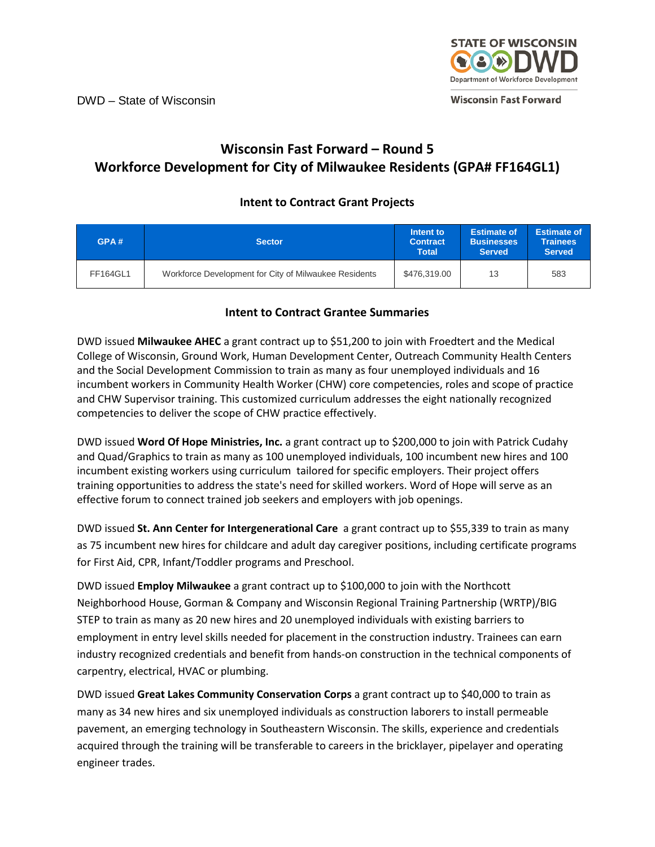

## **Wisconsin Fast Forward – Round 5 Workforce Development for City of Milwaukee Residents (GPA# FF164GL1)**

## **Intent to Contract Grant Projects**

| GPA#     | <b>Sector</b>                                         | Intent to<br><b>Contract</b><br>Total | <b>Estimate of</b><br><b>Businesses</b><br><b>Served</b> | <b>Estimate of</b><br><b>Trainees</b><br><b>Served</b> |
|----------|-------------------------------------------------------|---------------------------------------|----------------------------------------------------------|--------------------------------------------------------|
| FF164GL1 | Workforce Development for City of Milwaukee Residents | \$476,319,00                          | 13                                                       | 583                                                    |

## **Intent to Contract Grantee Summaries**

DWD issued **Milwaukee AHEC** a grant contract up to \$51,200 to join with Froedtert and the Medical College of Wisconsin, Ground Work, Human Development Center, Outreach Community Health Centers and the Social Development Commission to train as many as four unemployed individuals and 16 incumbent workers in Community Health Worker (CHW) core competencies, roles and scope of practice and CHW Supervisor training. This customized curriculum addresses the eight nationally recognized competencies to deliver the scope of CHW practice effectively.

DWD issued **Word Of Hope Ministries, Inc.** a grant contract up to \$200,000 to join with Patrick Cudahy and Quad/Graphics to train as many as 100 unemployed individuals, 100 incumbent new hires and 100 incumbent existing workers using curriculum tailored for specific employers. Their project offers training opportunities to address the state's need for skilled workers. Word of Hope will serve as an effective forum to connect trained job seekers and employers with job openings.

DWD issued **St. Ann Center for Intergenerational Care** a grant contract up to \$55,339 to train as many as 75 incumbent new hires for childcare and adult day caregiver positions, including certificate programs for First Aid, CPR, Infant/Toddler programs and Preschool.

DWD issued **Employ Milwaukee** a grant contract up to \$100,000 to join with the Northcott Neighborhood House, Gorman & Company and Wisconsin Regional Training Partnership (WRTP)/BIG STEP to train as many as 20 new hires and 20 unemployed individuals with existing barriers to employment in entry level skills needed for placement in the construction industry. Trainees can earn industry recognized credentials and benefit from hands-on construction in the technical components of carpentry, electrical, HVAC or plumbing.

DWD issued **Great Lakes Community Conservation Corps** a grant contract up to \$40,000 to train as many as 34 new hires and six unemployed individuals as construction laborers to install permeable pavement, an emerging technology in Southeastern Wisconsin. The skills, experience and credentials acquired through the training will be transferable to careers in the bricklayer, pipelayer and operating engineer trades.